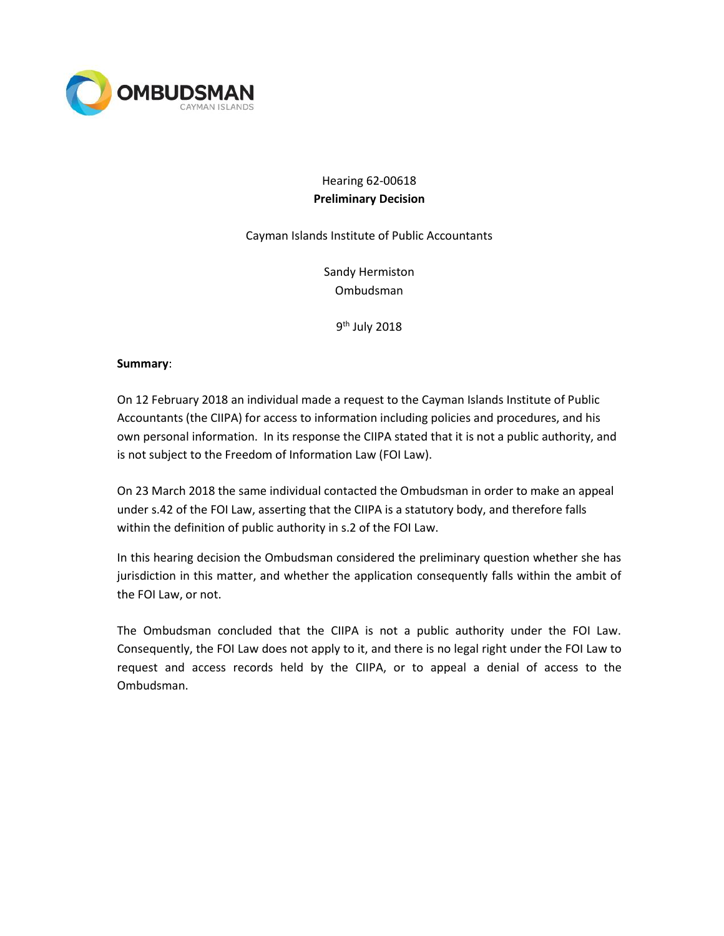

# Hearing 62-00618 **Preliminary Decision**

Cayman Islands Institute of Public Accountants

Sandy Hermiston Ombudsman

9<sup>th</sup> July 2018

# **Summary**:

On 12 February 2018 an individual made a request to the Cayman Islands Institute of Public Accountants (the CIIPA) for access to information including policies and procedures, and his own personal information. In its response the CIIPA stated that it is not a public authority, and is not subject to the Freedom of Information Law (FOI Law).

On 23 March 2018 the same individual contacted the Ombudsman in order to make an appeal under s.42 of the FOI Law, asserting that the CIIPA is a statutory body, and therefore falls within the definition of public authority in s.2 of the FOI Law.

In this hearing decision the Ombudsman considered the preliminary question whether she has jurisdiction in this matter, and whether the application consequently falls within the ambit of the FOI Law, or not.

The Ombudsman concluded that the CIIPA is not a public authority under the FOI Law. Consequently, the FOI Law does not apply to it, and there is no legal right under the FOI Law to request and access records held by the CIIPA, or to appeal a denial of access to the Ombudsman.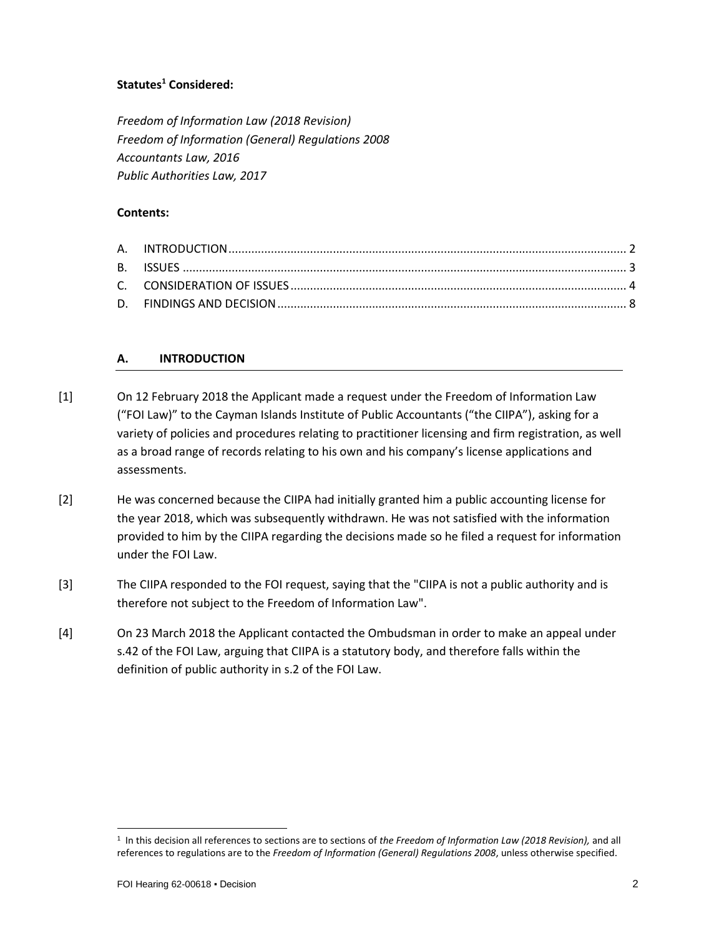# **Statutes<sup>1</sup> Considered:**

*Freedom of Information Law (2018 Revision) Freedom of Information (General) Regulations 2008 Accountants Law, 2016 Public Authorities Law, 2017*

# **Contents:**

# **A. INTRODUCTION**

- [1] On 12 February 2018 the Applicant made a request under the Freedom of Information Law ("FOI Law)" to the Cayman Islands Institute of Public Accountants ("the CIIPA"), asking for a variety of policies and procedures relating to practitioner licensing and firm registration, as well as a broad range of records relating to his own and his company's license applications and assessments.
- [2] He was concerned because the CIIPA had initially granted him a public accounting license for the year 2018, which was subsequently withdrawn. He was not satisfied with the information provided to him by the CIIPA regarding the decisions made so he filed a request for information under the FOI Law.
- [3] The CIIPA responded to the FOI request, saying that the "CIIPA is not a public authority and is therefore not subject to the Freedom of Information Law".
- [4] On 23 March 2018 the Applicant contacted the Ombudsman in order to make an appeal under s.42 of the FOI Law, arguing that CIIPA is a statutory body, and therefore falls within the definition of public authority in s.2 of the FOI Law.

l

<sup>1</sup> In this decision all references to sections are to sections of *the Freedom of Information Law (2018 Revision),* and all references to regulations are to the *Freedom of Information (General) Regulations 2008*, unless otherwise specified.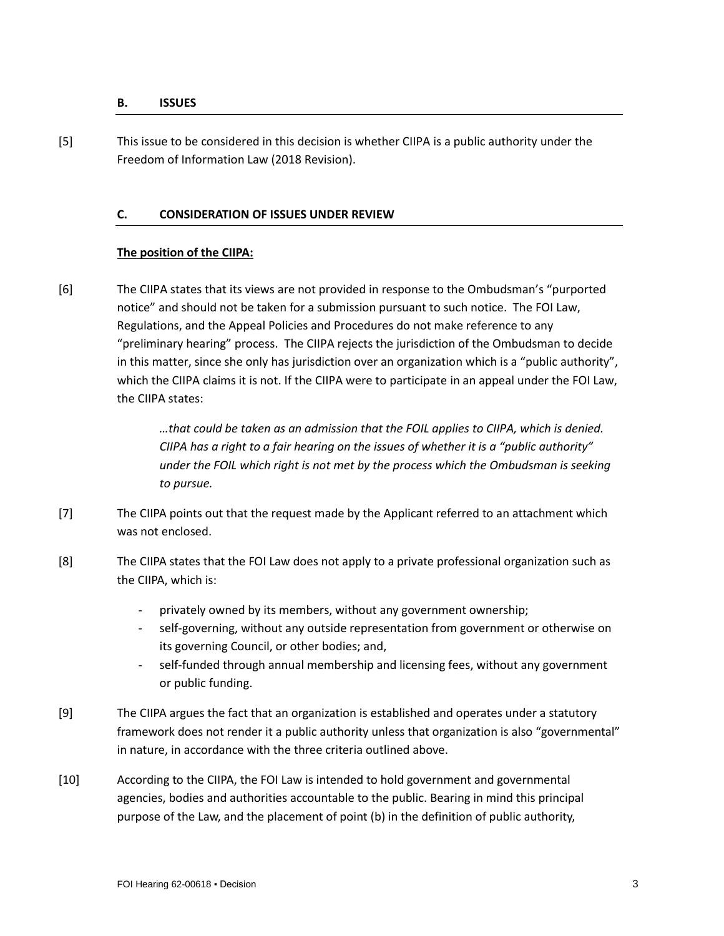#### **B. ISSUES**

[5] This issue to be considered in this decision is whether CIIPA is a public authority under the Freedom of Information Law (2018 Revision).

#### **C. CONSIDERATION OF ISSUES UNDER REVIEW**

#### **The position of the CIIPA:**

[6] The CIIPA states that its views are not provided in response to the Ombudsman's "purported notice" and should not be taken for a submission pursuant to such notice. The FOI Law, Regulations, and the Appeal Policies and Procedures do not make reference to any "preliminary hearing" process. The CIIPA rejects the jurisdiction of the Ombudsman to decide in this matter, since she only has jurisdiction over an organization which is a "public authority", which the CIIPA claims it is not. If the CIIPA were to participate in an appeal under the FOI Law, the CIIPA states:

> *…that could be taken as an admission that the FOIL applies to CIIPA, which is denied. CIIPA has a right to a fair hearing on the issues of whether it is a "public authority" under the FOIL which right is not met by the process which the Ombudsman is seeking to pursue.*

- [7] The CIIPA points out that the request made by the Applicant referred to an attachment which was not enclosed.
- [8] The CIIPA states that the FOI Law does not apply to a private professional organization such as the CIIPA, which is:
	- privately owned by its members, without any government ownership;
	- self-governing, without any outside representation from government or otherwise on its governing Council, or other bodies; and,
	- self-funded through annual membership and licensing fees, without any government or public funding.
- [9] The CIIPA argues the fact that an organization is established and operates under a statutory framework does not render it a public authority unless that organization is also "governmental" in nature, in accordance with the three criteria outlined above.
- [10] According to the CIIPA, the FOI Law is intended to hold government and governmental agencies, bodies and authorities accountable to the public. Bearing in mind this principal purpose of the Law, and the placement of point (b) in the definition of public authority,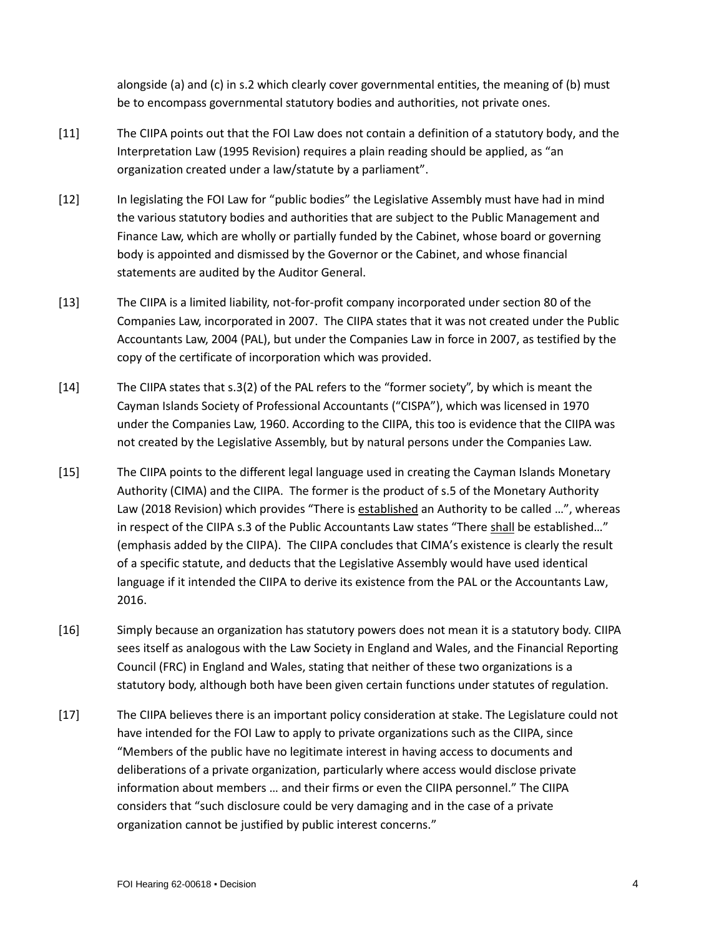alongside (a) and (c) in s.2 which clearly cover governmental entities, the meaning of (b) must be to encompass governmental statutory bodies and authorities, not private ones.

- [11] The CIIPA points out that the FOI Law does not contain a definition of a statutory body, and the Interpretation Law (1995 Revision) requires a plain reading should be applied, as "an organization created under a law/statute by a parliament".
- [12] In legislating the FOI Law for "public bodies" the Legislative Assembly must have had in mind the various statutory bodies and authorities that are subject to the Public Management and Finance Law, which are wholly or partially funded by the Cabinet, whose board or governing body is appointed and dismissed by the Governor or the Cabinet, and whose financial statements are audited by the Auditor General.
- [13] The CIIPA is a limited liability, not-for-profit company incorporated under section 80 of the Companies Law, incorporated in 2007. The CIIPA states that it was not created under the Public Accountants Law, 2004 (PAL), but under the Companies Law in force in 2007, as testified by the copy of the certificate of incorporation which was provided.
- [14] The CIIPA states that s.3(2) of the PAL refers to the "former society", by which is meant the Cayman Islands Society of Professional Accountants ("CISPA"), which was licensed in 1970 under the Companies Law, 1960. According to the CIIPA, this too is evidence that the CIIPA was not created by the Legislative Assembly, but by natural persons under the Companies Law.
- [15] The CIIPA points to the different legal language used in creating the Cayman Islands Monetary Authority (CIMA) and the CIIPA. The former is the product of s.5 of the Monetary Authority Law (2018 Revision) which provides "There is established an Authority to be called …", whereas in respect of the CIIPA s.3 of the Public Accountants Law states "There shall be established…" (emphasis added by the CIIPA). The CIIPA concludes that CIMA's existence is clearly the result of a specific statute, and deducts that the Legislative Assembly would have used identical language if it intended the CIIPA to derive its existence from the PAL or the Accountants Law, 2016.
- [16] Simply because an organization has statutory powers does not mean it is a statutory body. CIIPA sees itself as analogous with the Law Society in England and Wales, and the Financial Reporting Council (FRC) in England and Wales, stating that neither of these two organizations is a statutory body, although both have been given certain functions under statutes of regulation.
- [17] The CIIPA believes there is an important policy consideration at stake. The Legislature could not have intended for the FOI Law to apply to private organizations such as the CIIPA, since "Members of the public have no legitimate interest in having access to documents and deliberations of a private organization, particularly where access would disclose private information about members … and their firms or even the CIIPA personnel." The CIIPA considers that "such disclosure could be very damaging and in the case of a private organization cannot be justified by public interest concerns."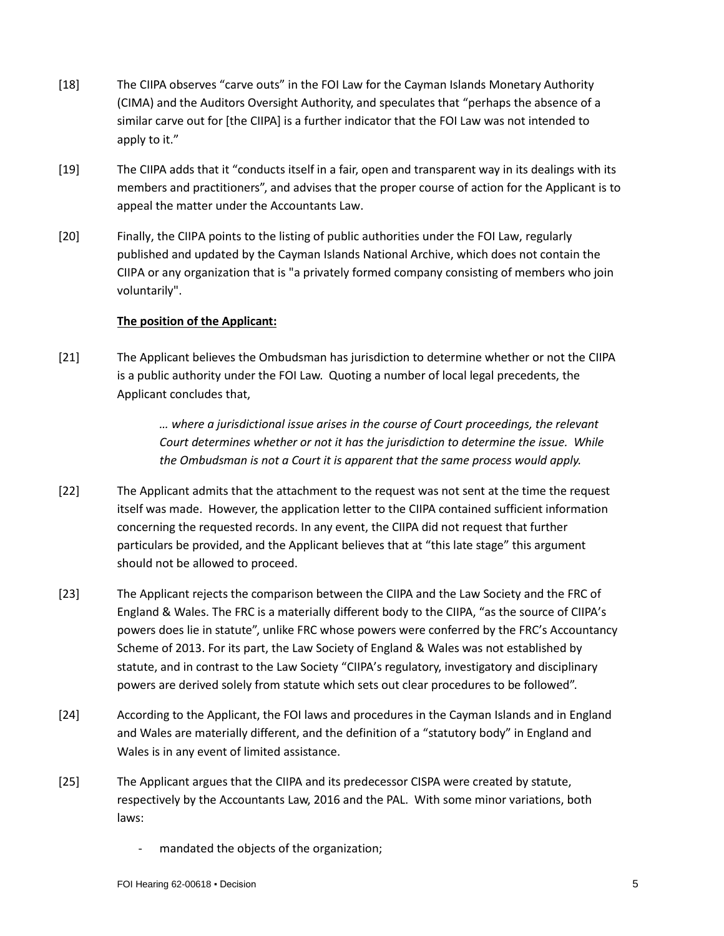- [18] The CIIPA observes "carve outs" in the FOI Law for the Cayman Islands Monetary Authority (CIMA) and the Auditors Oversight Authority, and speculates that "perhaps the absence of a similar carve out for [the CIIPA] is a further indicator that the FOI Law was not intended to apply to it."
- [19] The CIIPA adds that it "conducts itself in a fair, open and transparent way in its dealings with its members and practitioners", and advises that the proper course of action for the Applicant is to appeal the matter under the Accountants Law.
- [20] Finally, the CIIPA points to the listing of public authorities under the FOI Law, regularly published and updated by the Cayman Islands National Archive, which does not contain the CIIPA or any organization that is "a privately formed company consisting of members who join voluntarily".

# **The position of the Applicant:**

[21] The Applicant believes the Ombudsman has jurisdiction to determine whether or not the CIIPA is a public authority under the FOI Law. Quoting a number of local legal precedents, the Applicant concludes that,

> *… where a jurisdictional issue arises in the course of Court proceedings, the relevant Court determines whether or not it has the jurisdiction to determine the issue. While the Ombudsman is not a Court it is apparent that the same process would apply.*

- [22] The Applicant admits that the attachment to the request was not sent at the time the request itself was made. However, the application letter to the CIIPA contained sufficient information concerning the requested records. In any event, the CIIPA did not request that further particulars be provided, and the Applicant believes that at "this late stage" this argument should not be allowed to proceed.
- [23] The Applicant rejects the comparison between the CIIPA and the Law Society and the FRC of England & Wales. The FRC is a materially different body to the CIIPA, "as the source of CIIPA's powers does lie in statute", unlike FRC whose powers were conferred by the FRC's Accountancy Scheme of 2013. For its part, the Law Society of England & Wales was not established by statute, and in contrast to the Law Society "CIIPA's regulatory, investigatory and disciplinary powers are derived solely from statute which sets out clear procedures to be followed".
- [24] According to the Applicant, the FOI laws and procedures in the Cayman Islands and in England and Wales are materially different, and the definition of a "statutory body" in England and Wales is in any event of limited assistance.
- [25] The Applicant argues that the CIIPA and its predecessor CISPA were created by statute, respectively by the Accountants Law, 2016 and the PAL. With some minor variations, both laws:
	- mandated the objects of the organization;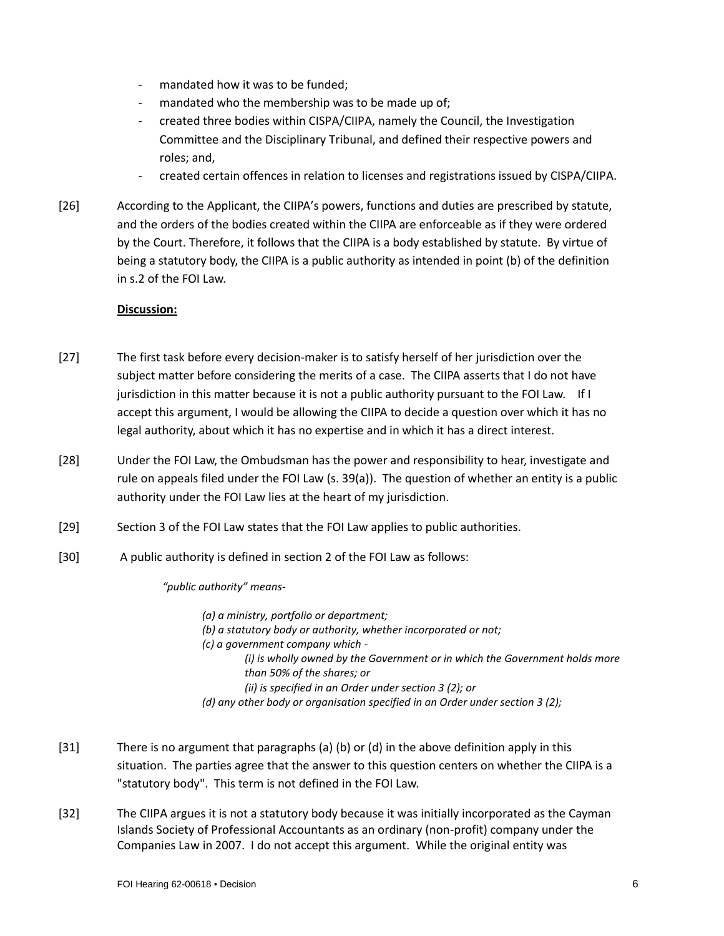- mandated how it was to be funded;
- mandated who the membership was to be made up of;
- created three bodies within CISPA/CIIPA, namely the Council, the Investigation Committee and the Disciplinary Tribunal, and defined their respective powers and roles; and,
- created certain offences in relation to licenses and registrations issued by CISPA/CIIPA.
- [26] According to the Applicant, the CIIPA's powers, functions and duties are prescribed by statute, and the orders of the bodies created within the CIIPA are enforceable as if they were ordered by the Court. Therefore, it follows that the CIIPA is a body established by statute. By virtue of being a statutory body, the CIIPA is a public authority as intended in point (b) of the definition in s.2 of the FOI Law.

#### **Discussion:**

- [27] The first task before every decision-maker is to satisfy herself of her jurisdiction over the subject matter before considering the merits of a case. The CIIPA asserts that I do not have jurisdiction in this matter because it is not a public authority pursuant to the FOI Law. If I accept this argument, I would be allowing the CIIPA to decide a question over which it has no legal authority, about which it has no expertise and in which it has a direct interest.
- [28] Under the FOI Law, the Ombudsman has the power and responsibility to hear, investigate and rule on appeals filed under the FOI Law (s. 39(a)). The question of whether an entity is a public authority under the FOI Law lies at the heart of my jurisdiction.
- [29] Section 3 of the FOI Law states that the FOI Law applies to public authorities.
- [30] A public authority is defined in section 2 of the FOI Law as follows:

*"public authority" means-*

*(a) a ministry, portfolio or department; (b) a statutory body or authority, whether incorporated or not; (c) a government company which - (i) is wholly owned by the Government or in which the Government holds more than 50% of the shares; or (ii) is specified in an Order under section 3 (2); or (d) any other body or organisation specified in an Order under section 3 (2);* 

- [31] There is no argument that paragraphs (a) (b) or (d) in the above definition apply in this situation. The parties agree that the answer to this question centers on whether the CIIPA is a "statutory body". This term is not defined in the FOI Law.
- [32] The CIIPA argues it is not a statutory body because it was initially incorporated as the Cayman Islands Society of Professional Accountants as an ordinary (non-profit) company under the Companies Law in 2007. I do not accept this argument. While the original entity was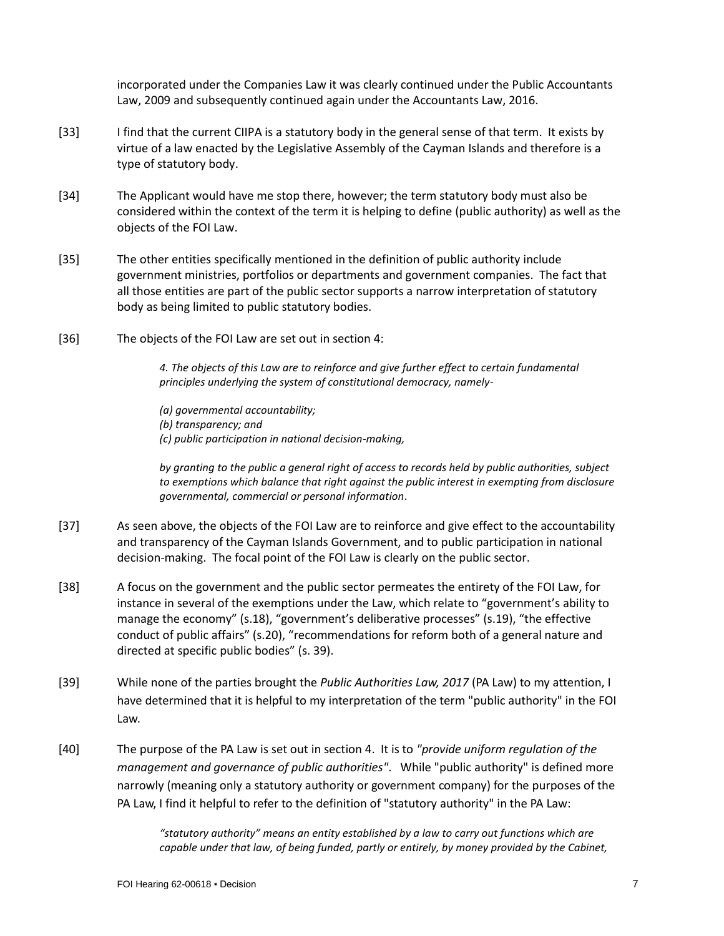incorporated under the Companies Law it was clearly continued under the Public Accountants Law, 2009 and subsequently continued again under the Accountants Law, 2016.

- [33] I find that the current CIIPA is a statutory body in the general sense of that term. It exists by virtue of a law enacted by the Legislative Assembly of the Cayman Islands and therefore is a type of statutory body.
- [34] The Applicant would have me stop there, however; the term statutory body must also be considered within the context of the term it is helping to define (public authority) as well as the objects of the FOI Law.
- [35] The other entities specifically mentioned in the definition of public authority include government ministries, portfolios or departments and government companies. The fact that all those entities are part of the public sector supports a narrow interpretation of statutory body as being limited to public statutory bodies.
- [36] The objects of the FOI Law are set out in section 4:

*4. The objects of this Law are to reinforce and give further effect to certain fundamental principles underlying the system of constitutional democracy, namely-*

*(a) governmental accountability; (b) transparency; and (c) public participation in national decision-making,*

*by granting to the public a general right of access to records held by public authorities, subject to exemptions which balance that right against the public interest in exempting from disclosure governmental, commercial or personal information*.

- [37] As seen above, the objects of the FOI Law are to reinforce and give effect to the accountability and transparency of the Cayman Islands Government, and to public participation in national decision-making. The focal point of the FOI Law is clearly on the public sector.
- [38] A focus on the government and the public sector permeates the entirety of the FOI Law, for instance in several of the exemptions under the Law, which relate to "government's ability to manage the economy" (s.18), "government's deliberative processes" (s.19), "the effective conduct of public affairs" (s.20), "recommendations for reform both of a general nature and directed at specific public bodies" (s. 39).
- [39] While none of the parties brought the *Public Authorities Law, 2017* (PA Law) to my attention, I have determined that it is helpful to my interpretation of the term "public authority" in the FOI Law.
- [40] The purpose of the PA Law is set out in section 4. It is to *"provide uniform regulation of the management and governance of public authorities"*. While "public authority" is defined more narrowly (meaning only a statutory authority or government company) for the purposes of the PA Law, I find it helpful to refer to the definition of "statutory authority" in the PA Law:

*"statutory authority" means an entity established by a law to carry out functions which are capable under that law, of being funded, partly or entirely, by money provided by the Cabinet,*